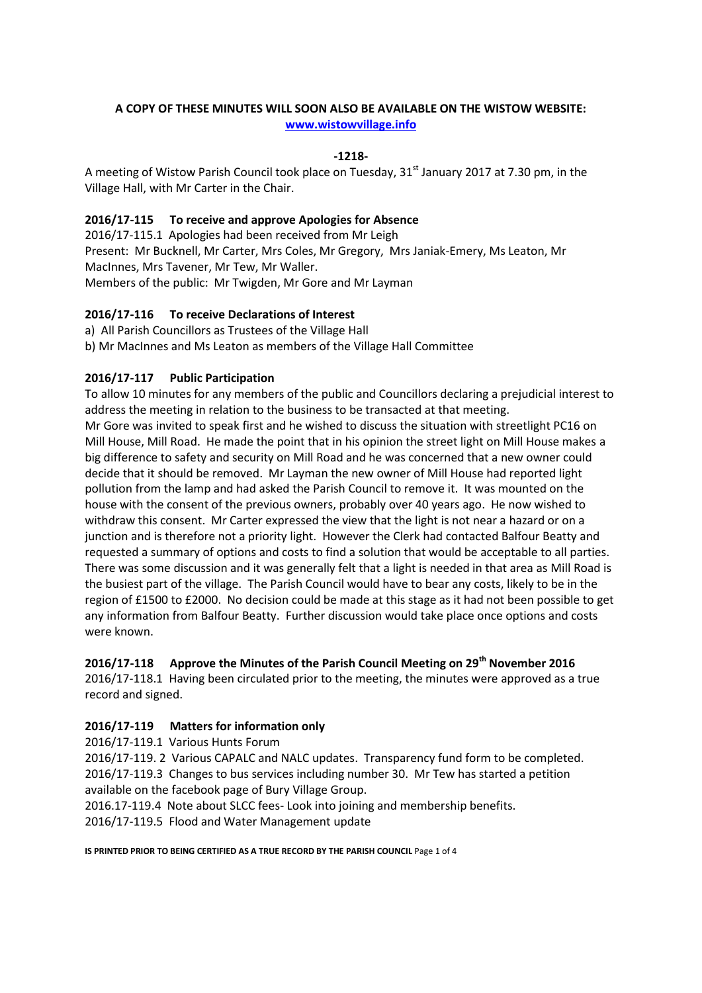# **A COPY OF THESE MINUTES WILL SOON ALSO BE AVAILABLE ON THE WISTOW WEBSITE: [www.wistowvillage.info](http://www.wistowvillage.info/)**

## **-1218-**

A meeting of Wistow Parish Council took place on Tuesday,  $31<sup>st</sup>$  January 2017 at 7.30 pm, in the Village Hall, with Mr Carter in the Chair.

## **2016/17-115 To receive and approve Apologies for Absence**

2016/17-115.1 Apologies had been received from Mr Leigh Present: Mr Bucknell, Mr Carter, Mrs Coles, Mr Gregory, Mrs Janiak-Emery, Ms Leaton, Mr MacInnes, Mrs Tavener, Mr Tew, Mr Waller. Members of the public: Mr Twigden, Mr Gore and Mr Layman

### **2016/17-116 To receive Declarations of Interest**

a) All Parish Councillors as Trustees of the Village Hall

b) Mr MacInnes and Ms Leaton as members of the Village Hall Committee

## **2016/17-117 Public Participation**

To allow 10 minutes for any members of the public and Councillors declaring a prejudicial interest to address the meeting in relation to the business to be transacted at that meeting. Mr Gore was invited to speak first and he wished to discuss the situation with streetlight PC16 on Mill House, Mill Road. He made the point that in his opinion the street light on Mill House makes a big difference to safety and security on Mill Road and he was concerned that a new owner could decide that it should be removed. Mr Layman the new owner of Mill House had reported light pollution from the lamp and had asked the Parish Council to remove it. It was mounted on the house with the consent of the previous owners, probably over 40 years ago. He now wished to withdraw this consent. Mr Carter expressed the view that the light is not near a hazard or on a junction and is therefore not a priority light. However the Clerk had contacted Balfour Beatty and requested a summary of options and costs to find a solution that would be acceptable to all parties. There was some discussion and it was generally felt that a light is needed in that area as Mill Road is the busiest part of the village. The Parish Council would have to bear any costs, likely to be in the region of £1500 to £2000. No decision could be made at this stage as it had not been possible to get any information from Balfour Beatty. Further discussion would take place once options and costs were known.

### **2016/17-118 Approve the Minutes of the Parish Council Meeting on 29th November 2016**

2016/17-118.1 Having been circulated prior to the meeting, the minutes were approved as a true record and signed.

## **2016/17-119 Matters for information only**

2016/17-119.1 Various Hunts Forum

2016/17-119. 2 Various CAPALC and NALC updates. Transparency fund form to be completed. 2016/17-119.3 Changes to bus services including number 30. Mr Tew has started a petition available on the facebook page of Bury Village Group.

2016.17-119.4 Note about SLCC fees- Look into joining and membership benefits. 2016/17-119.5 Flood and Water Management update

**IS PRINTED PRIOR TO BEING CERTIFIED AS A TRUE RECORD BY THE PARISH COUNCIL** Page 1 of 4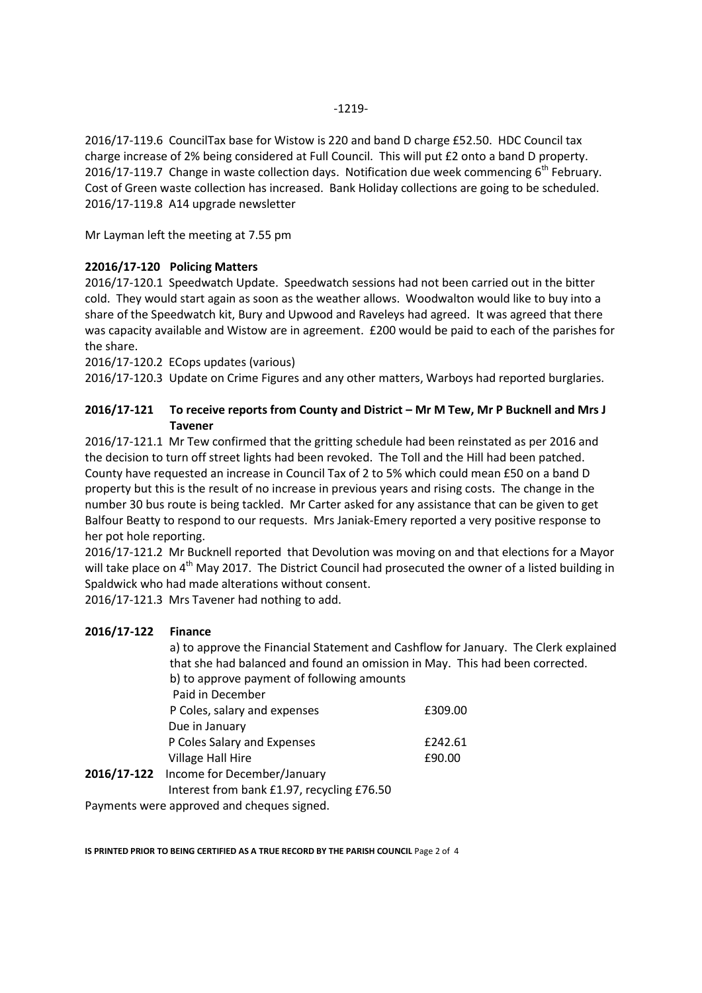Mr Layman left the meeting at 7.55 pm

2016/17-119.8 A14 upgrade newsletter

## **22016/17-120 Policing Matters**

2016/17-120.1 Speedwatch Update. Speedwatch sessions had not been carried out in the bitter cold. They would start again as soon as the weather allows. Woodwalton would like to buy into a share of the Speedwatch kit, Bury and Upwood and Raveleys had agreed. It was agreed that there was capacity available and Wistow are in agreement. £200 would be paid to each of the parishes for the share.

2016/17-120.2 ECops updates (various)

2016/17-120.3 Update on Crime Figures and any other matters, Warboys had reported burglaries.

## **2016/17-121 To receive reports from County and District – Mr M Tew, Mr P Bucknell and Mrs J Tavener**

2016/17-121.1 Mr Tew confirmed that the gritting schedule had been reinstated as per 2016 and the decision to turn off street lights had been revoked. The Toll and the Hill had been patched. County have requested an increase in Council Tax of 2 to 5% which could mean £50 on a band D property but this is the result of no increase in previous years and rising costs. The change in the number 30 bus route is being tackled. Mr Carter asked for any assistance that can be given to get Balfour Beatty to respond to our requests. Mrs Janiak-Emery reported a very positive response to her pot hole reporting.

2016/17-121.2 Mr Bucknell reported that Devolution was moving on and that elections for a Mayor will take place on 4<sup>th</sup> May 2017. The District Council had prosecuted the owner of a listed building in Spaldwick who had made alterations without consent.

2016/17-121.3 Mrs Tavener had nothing to add.

### **2016/17-122 Finance**

|  | a) to approve the Financial Statement and Cashflow for January. The Clerk explained<br>that she had balanced and found an omission in May. This had been corrected.<br>b) to approve payment of following amounts |         |  |
|--|-------------------------------------------------------------------------------------------------------------------------------------------------------------------------------------------------------------------|---------|--|
|  |                                                                                                                                                                                                                   |         |  |
|  | Paid in December                                                                                                                                                                                                  |         |  |
|  | P Coles, salary and expenses                                                                                                                                                                                      | £309.00 |  |
|  | Due in January                                                                                                                                                                                                    |         |  |
|  | P Coles Salary and Expenses                                                                                                                                                                                       | £242.61 |  |
|  | Village Hall Hire                                                                                                                                                                                                 | £90.00  |  |
|  | 2016/17-122 Income for December/January                                                                                                                                                                           |         |  |
|  | Interest from bank £1.97, recycling £76.50                                                                                                                                                                        |         |  |
|  | <b>Dowmants ware approved and choques signed</b>                                                                                                                                                                  |         |  |

Payments were approved and cheques signed.

**IS PRINTED PRIOR TO BEING CERTIFIED AS A TRUE RECORD BY THE PARISH COUNCIL** Page 2 of 4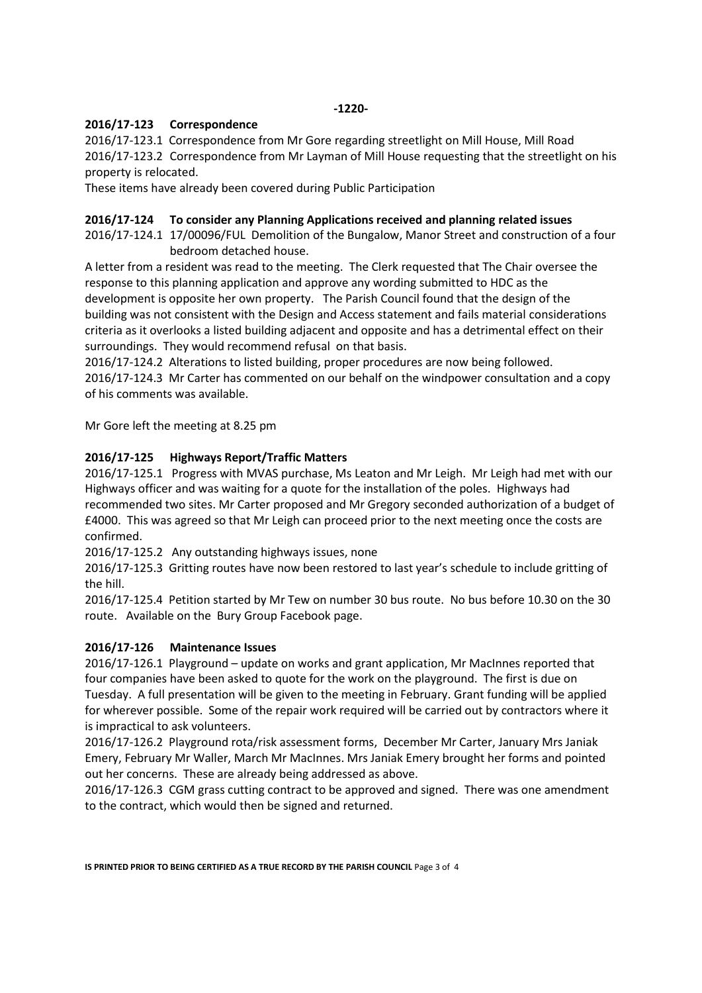### **-1220-**

### **2016/17-123 Correspondence**

2016/17-123.1 Correspondence from Mr Gore regarding streetlight on Mill House, Mill Road 2016/17-123.2 Correspondence from Mr Layman of Mill House requesting that the streetlight on his property is relocated.

These items have already been covered during Public Participation

### **2016/17-124 To consider any Planning Applications received and planning related issues**

2016/17-124.1 17/00096/FUL Demolition of the Bungalow, Manor Street and construction of a four bedroom detached house.

A letter from a resident was read to the meeting. The Clerk requested that The Chair oversee the response to this planning application and approve any wording submitted to HDC as the development is opposite her own property. The Parish Council found that the design of the building was not consistent with the Design and Access statement and fails material considerations criteria as it overlooks a listed building adjacent and opposite and has a detrimental effect on their surroundings. They would recommend refusal on that basis.

2016/17-124.2 Alterations to listed building, proper procedures are now being followed. 2016/17-124.3 Mr Carter has commented on our behalf on the windpower consultation and a copy of his comments was available.

Mr Gore left the meeting at 8.25 pm

## **2016/17-125 Highways Report/Traffic Matters**

2016/17-125.1 Progress with MVAS purchase, Ms Leaton and Mr Leigh. Mr Leigh had met with our Highways officer and was waiting for a quote for the installation of the poles. Highways had recommended two sites. Mr Carter proposed and Mr Gregory seconded authorization of a budget of £4000. This was agreed so that Mr Leigh can proceed prior to the next meeting once the costs are confirmed.

2016/17-125.2 Any outstanding highways issues, none

2016/17-125.3 Gritting routes have now been restored to last year's schedule to include gritting of the hill.

2016/17-125.4 Petition started by Mr Tew on number 30 bus route. No bus before 10.30 on the 30 route. Available on the Bury Group Facebook page.

## **2016/17-126 Maintenance Issues**

2016/17-126.1 Playground – update on works and grant application, Mr MacInnes reported that four companies have been asked to quote for the work on the playground. The first is due on Tuesday. A full presentation will be given to the meeting in February. Grant funding will be applied for wherever possible. Some of the repair work required will be carried out by contractors where it is impractical to ask volunteers.

2016/17-126.2 Playground rota/risk assessment forms, December Mr Carter, January Mrs Janiak Emery, February Mr Waller, March Mr MacInnes. Mrs Janiak Emery brought her forms and pointed out her concerns. These are already being addressed as above.

2016/17-126.3 CGM grass cutting contract to be approved and signed. There was one amendment to the contract, which would then be signed and returned.